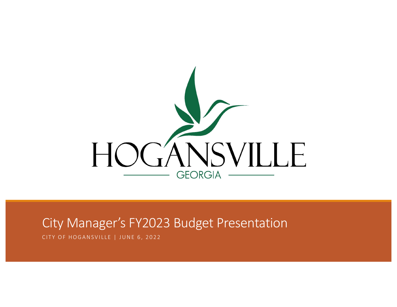

#### City Manager's FY2023 Budget Presentation

CITY OF HOGANSVILLE | JUNE 6, 2022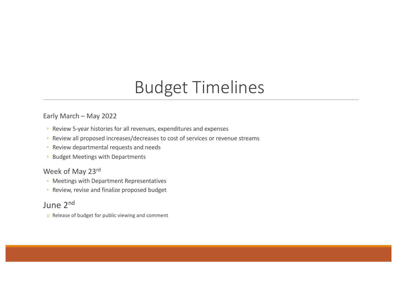## Budget Timelines

#### Early March – May 2022

- Review 5-year histories for all revenues, expenditures and expenses
- Review all proposed increases/decreases to cost of services or revenue streams
- Review departmental requests and needs
- Budget Meetings with Departments

#### Week of May 23rd

- Meetings with Department Representatives
- Review, revise and finalize proposed budget

#### June 2nd

o Release of budget for public viewing and comment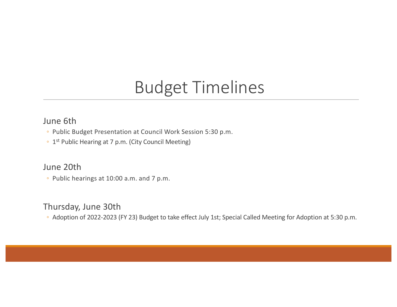### Budget Timelines

#### June 6th

- Public Budget Presentation at Council Work Session 5:30 p.m.
- 1st Public Hearing at 7 p.m. (City Council Meeting)

#### June 20th

◦ Public hearings at 10:00 a.m. and 7 p.m.

#### Thursday, June 30th

◦ Adoption of 2022-2023 (FY 23) Budget to take effect July 1st; Special Called Meeting for Adoption at 5:30 p.m.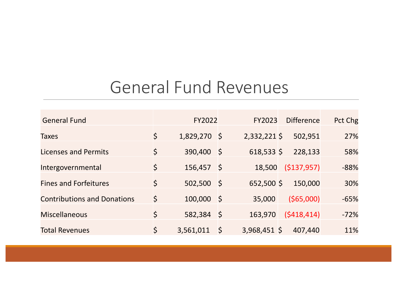### General Fund Revenues

| <b>General Fund</b>                |             | FY2022         |         | FY2023         | <b>Difference</b> | Pct Chg |
|------------------------------------|-------------|----------------|---------|----------------|-------------------|---------|
| <b>Taxes</b>                       | $\zeta$     | $1,829,270$ \$ |         | $2,332,221$ \$ | 502,951           | 27%     |
| Licenses and Permits               | $\varsigma$ | 390,400        | -\$     | $618,533$ \$   | 228,133           | 58%     |
| Intergovernmental                  | $\varsigma$ | 156,457        | - \$    | 18,500         | ( \$137, 957)     | $-88%$  |
| <b>Fines and Forfeitures</b>       | \$          | $502,500$ \$   |         | $652,500$ \$   | 150,000           | 30%     |
| <b>Contributions and Donations</b> | $\varsigma$ | 100,000        | -\$     | 35,000         | $($ \$65,000)     | $-65%$  |
| <b>Miscellaneous</b>               | $\varsigma$ | 582,384        | -\$     | 163,970        | (5418, 414)       | $-72%$  |
| <b>Total Revenues</b>              | $\varsigma$ | 3,561,011      | $\zeta$ | 3,968,451 \$   | 407,440           | 11%     |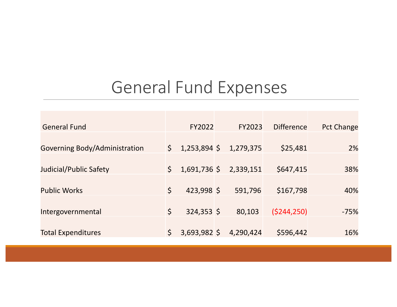### General Fund Expenses

| <b>General Fund</b>           |              | FY2022         | FY2023    | <b>Difference</b> | <b>Pct Change</b> |
|-------------------------------|--------------|----------------|-----------|-------------------|-------------------|
| Governing Body/Administration | $\mathsf{S}$ | $1,253,894$ \$ | 1,279,375 | \$25,481          | 2%                |
| Judicial/Public Safety        | $\mathsf{S}$ | $1,691,736$ \$ | 2,339,151 | \$647,415         | 38%               |
|                               |              |                |           |                   |                   |
| <b>Public Works</b>           | $\mathsf{S}$ | 423,998 \$     | 591,796   | \$167,798         | 40%               |
| Intergovernmental             | $\zeta$      | $324,353$ \$   | 80,103    | (5244, 250)       | $-75%$            |
| <b>Total Expenditures</b>     | $\mathsf{S}$ | $3,693,982$ \$ | 4,290,424 | \$596,442         | 16%               |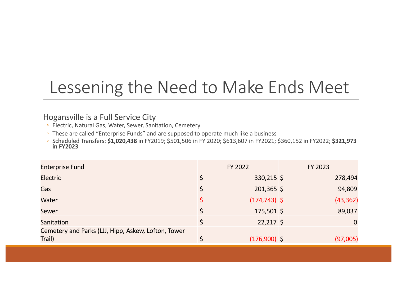### Lessening the Need to Make Ends Meet

#### Hogansville is a Full Service City

- Electric, Natural Gas, Water, Sewer, Sanitation, Cemetery
- These are called "Enterprise Funds" and are supposed to operate much like a business
- Scheduled Transfers: **\$1,020,438** in FY2019; \$501,506 in FY 2020; \$613,607 in FY2021; \$360,152 in FY2022; **\$321,973 in FY2023**

| <b>Enterprise Fund</b>                                        | FY 2022         | FY 2023 |           |
|---------------------------------------------------------------|-----------------|---------|-----------|
| <b>Electric</b>                                               | $330,215$ \$    |         | 278,494   |
| <b>Gas</b>                                                    | $201,365$ \$    |         | 94,809    |
| Water                                                         | $(174, 743)$ \$ |         | (43, 362) |
| Sewer                                                         | $175,501$ \$    |         | 89,037    |
| Sanitation                                                    | $22,217$ \$     |         | 0         |
| Cemetery and Parks (LJJ, Hipp, Askew, Lofton, Tower<br>Trail) | $(176,900)$ \$  |         | (97,005)  |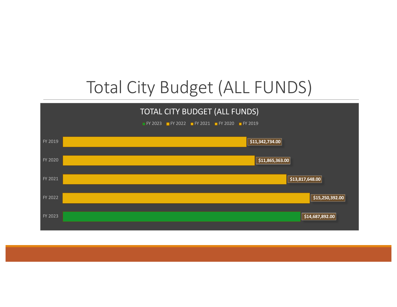# Total City Budget (ALL FUNDS)

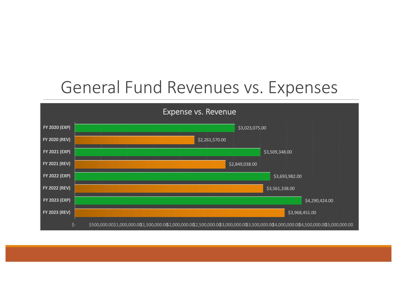### General Fund Revenues vs. Expenses

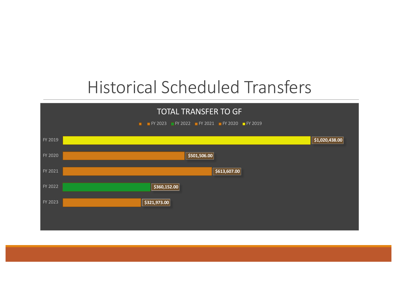## Historical Scheduled Transfers

| <b>TOTAL TRANSFER TO GF</b><br><b>F</b> FY 2023 FY 2022 FY 2021 FY 2020 FY 2019 |                |  |  |  |  |
|---------------------------------------------------------------------------------|----------------|--|--|--|--|
|                                                                                 |                |  |  |  |  |
| FY 2019                                                                         | \$1,020,438.00 |  |  |  |  |
| FY 2020                                                                         | \$501,506.00   |  |  |  |  |
| FY 2021                                                                         | \$613,607.00   |  |  |  |  |
| FY 2022                                                                         | \$360,152.00   |  |  |  |  |
| FY 2023                                                                         | \$321,973.00   |  |  |  |  |
|                                                                                 |                |  |  |  |  |
|                                                                                 |                |  |  |  |  |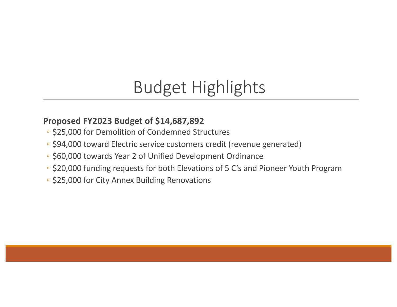# Budget Highlights

#### **Proposed FY2023 Budget of \$14,687,892**

- \$25,000 for Demolition of Condemned Structures
- \$94,000 toward Electric service customers credit (revenue generated)
- \$60,000 towards Year 2 of Unified Development Ordinance
- \$20,000 funding requests for both Elevations of 5 C's and Pioneer Youth Program
- \$25,000 for City Annex Building Renovations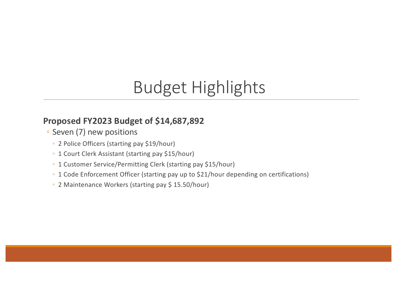# Budget Highlights

#### **Proposed FY2023 Budget of \$14,687,892**

- Seven (7) new positions
	- 2 Police Officers (starting pay \$19/hour)
	- 1 Court Clerk Assistant (starting pay \$15/hour)
	- 1 Customer Service/Permitting Clerk (starting pay \$15/hour)
	- 1 Code Enforcement Officer (starting pay up to \$21/hour depending on certifications)
	- 2 Maintenance Workers (starting pay \$ 15.50/hour)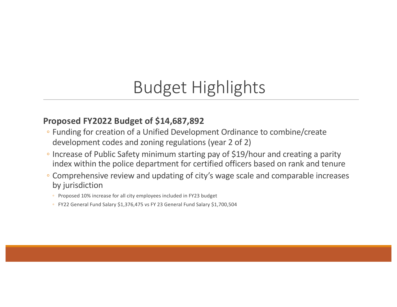## Budget Highlights

#### **Proposed FY2022 Budget of \$14,687,892**

- Funding for creation of a Unified Development Ordinance to combine/create development codes and zoning regulations (year 2 of 2)
- Increase of Public Safety minimum starting pay of \$19/hour and creating a parity index within the police department for certified officers based on rank and tenure
- Comprehensive review and updating of city's wage scale and comparable increases by jurisdiction
	- Proposed 10% increase for all city employees included in FY23 budget
	- FY22 General Fund Salary \$1,376,475 vs FY 23 General Fund Salary \$1,700,504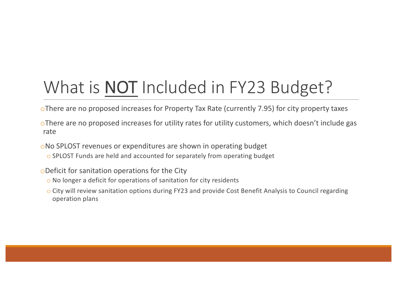# What is **NOT** Included in FY23 Budget?

oThere are no proposed increases for Property Tax Rate (currently 7.95) for city property taxes

oThere are no proposed increases for utility rates for utility customers, which doesn't include gas rate

oNo SPLOST revenues or expenditures are shown in operating budget

o SPLOST Funds are held and accounted for separately from operating budget

oDeficit for sanitation operations for the City

- o No longer a deficit for operations of sanitation for city residents
- o City will review sanitation options during FY23 and provide Cost Benefit Analysis to Council regarding operation plans